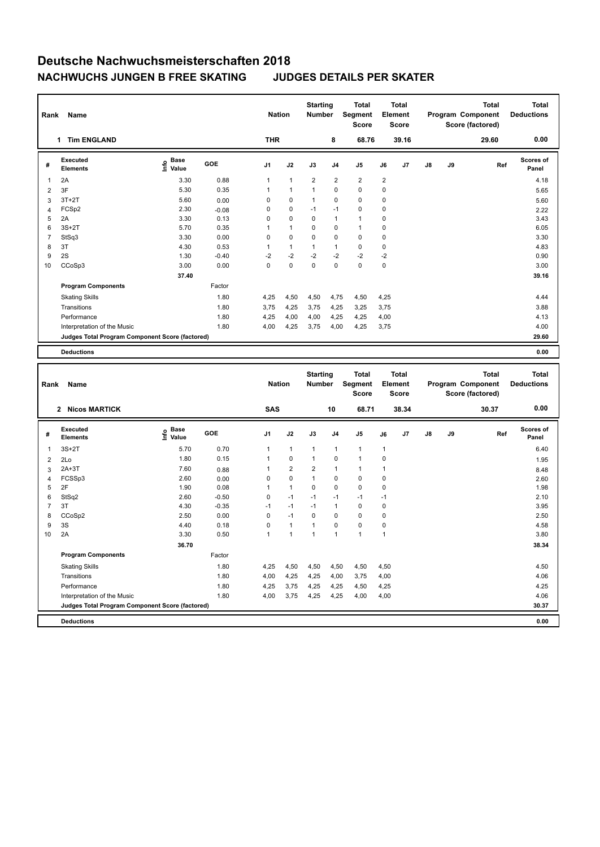| Rank | Name                                            |                            |            | <b>Nation</b>  |              | <b>Starting</b><br><b>Number</b> |                | <b>Total</b><br>Segment<br><b>Score</b> |                | <b>Total</b><br>Element<br><b>Score</b> |               |    | <b>Total</b><br>Program Component<br>Score (factored) | <b>Total</b><br><b>Deductions</b> |
|------|-------------------------------------------------|----------------------------|------------|----------------|--------------|----------------------------------|----------------|-----------------------------------------|----------------|-----------------------------------------|---------------|----|-------------------------------------------------------|-----------------------------------|
|      | <b>Tim ENGLAND</b><br>1                         |                            |            | <b>THR</b>     |              |                                  | 8              | 68.76                                   |                | 39.16                                   |               |    | 29.60                                                 | 0.00                              |
| #    | Executed<br><b>Elements</b>                     | <b>Base</b><br>۴ů<br>Value | <b>GOE</b> | J <sub>1</sub> | J2           | J3                               | J <sub>4</sub> | J5                                      | J6             | J7                                      | $\mathsf{J}8$ | J9 | Ref                                                   | Scores of<br>Panel                |
| 1    | 2A                                              | 3.30                       | 0.88       | 1              | $\mathbf{1}$ | $\overline{2}$                   | $\overline{2}$ | $\overline{2}$                          | $\overline{2}$ |                                         |               |    |                                                       | 4.18                              |
| 2    | 3F                                              | 5.30                       | 0.35       |                | $\mathbf{1}$ |                                  | $\mathbf 0$    | $\mathbf 0$                             | $\mathbf 0$    |                                         |               |    |                                                       | 5.65                              |
| 3    | $3T+2T$                                         | 5.60                       | 0.00       | 0              | 0            | 1                                | $\mathbf 0$    | $\mathbf 0$                             | $\mathbf 0$    |                                         |               |    |                                                       | 5.60                              |
| 4    | FCSp2                                           | 2.30                       | $-0.08$    | 0              | 0            | $-1$                             | $-1$           | $\mathbf 0$                             | $\mathbf 0$    |                                         |               |    |                                                       | 2.22                              |
| 5    | 2A                                              | 3.30                       | 0.13       | $\Omega$       | $\mathbf 0$  | $\Omega$                         | $\mathbf{1}$   | $\mathbf{1}$                            | $\mathbf 0$    |                                         |               |    |                                                       | 3.43                              |
| 6    | $3S+2T$                                         | 5.70                       | 0.35       |                | $\mathbf{1}$ | $\Omega$                         | 0              | $\mathbf{1}$                            | $\mathbf 0$    |                                         |               |    |                                                       | 6.05                              |
| 7    | StSq3                                           | 3.30                       | 0.00       | 0              | $\mathbf 0$  | $\mathbf 0$                      | $\mathbf 0$    | $\mathbf 0$                             | $\mathbf 0$    |                                         |               |    |                                                       | 3.30                              |
| 8    | 3T                                              | 4.30                       | 0.53       |                | $\mathbf{1}$ | $\mathbf{1}$                     | $\mathbf{1}$   | $\mathbf 0$                             | 0              |                                         |               |    |                                                       | 4.83                              |
| 9    | 2S                                              | 1.30                       | $-0.40$    | $-2$           | $-2$         | $-2$                             | $-2$           | $-2$                                    | $-2$           |                                         |               |    |                                                       | 0.90                              |
| 10   | CCoSp3                                          | 3.00                       | 0.00       | $\Omega$       | $\mathbf 0$  | $\mathbf 0$                      | $\mathbf 0$    | $\mathbf 0$                             | $\mathbf 0$    |                                         |               |    |                                                       | 3.00                              |
|      |                                                 | 37.40                      |            |                |              |                                  |                |                                         |                |                                         |               |    |                                                       | 39.16                             |
|      | <b>Program Components</b>                       |                            | Factor     |                |              |                                  |                |                                         |                |                                         |               |    |                                                       |                                   |
|      | <b>Skating Skills</b>                           |                            | 1.80       | 4,25           | 4,50         | 4,50                             | 4,75           | 4,50                                    | 4,25           |                                         |               |    |                                                       | 4.44                              |
|      | Transitions                                     |                            | 1.80       | 3.75           | 4,25         | 3,75                             | 4,25           | 3,25                                    | 3,75           |                                         |               |    |                                                       | 3.88                              |
|      | Performance                                     |                            | 1.80       | 4,25           | 4,00         | 4,00                             | 4,25           | 4,25                                    | 4,00           |                                         |               |    |                                                       | 4.13                              |
|      | Interpretation of the Music                     |                            | 1.80       | 4,00           | 4,25         | 3,75                             | 4,00           | 4,25                                    | 3,75           |                                         |               |    |                                                       | 4.00                              |
|      | Judges Total Program Component Score (factored) |                            |            |                |              |                                  |                |                                         |                |                                         |               |    |                                                       | 29.60                             |
|      | <b>Deductions</b>                               |                            |            |                |              |                                  |                |                                         |                |                                         |               |    |                                                       | 0.00                              |

| Rank           | Name                                            |                                  |         | <b>Nation</b>  |                         | <b>Starting</b><br><b>Number</b> |                | <b>Total</b><br>Segment<br><b>Score</b> |              | <b>Total</b><br>Element<br><b>Score</b> |               |    | <b>Total</b><br>Program Component<br>Score (factored) | <b>Total</b><br><b>Deductions</b> |
|----------------|-------------------------------------------------|----------------------------------|---------|----------------|-------------------------|----------------------------------|----------------|-----------------------------------------|--------------|-----------------------------------------|---------------|----|-------------------------------------------------------|-----------------------------------|
|                | 2 Nicos MARTICK                                 |                                  |         | SAS            |                         |                                  | 10             | 68.71                                   |              | 38.34                                   |               |    | 30.37                                                 | 0.00                              |
| #              | Executed<br><b>Elements</b>                     | <b>Base</b><br>e Base<br>⊆ Value | GOE     | J <sub>1</sub> | J2                      | J3                               | J <sub>4</sub> | J <sub>5</sub>                          | J6           | J7                                      | $\mathsf{J}8$ | J9 | Ref                                                   | <b>Scores of</b><br>Panel         |
| 1              | $3S+2T$                                         | 5.70                             | 0.70    | 1              | $\mathbf{1}$            | $\mathbf{1}$                     | 1              | $\mathbf{1}$                            | $\mathbf{1}$ |                                         |               |    |                                                       | 6.40                              |
| 2              | 2Lo                                             | 1.80                             | 0.15    | 1              | 0                       | $\mathbf{1}$                     | 0              | $\mathbf{1}$                            | $\mathbf 0$  |                                         |               |    |                                                       | 1.95                              |
| 3              | $2A+3T$                                         | 7.60                             | 0.88    |                | $\overline{\mathbf{c}}$ | $\overline{2}$                   | 1              | $\mathbf{1}$                            | 1            |                                         |               |    |                                                       | 8.48                              |
| $\overline{4}$ | FCSSp3                                          | 2.60                             | 0.00    | 0              | 0                       | 1                                | 0              | $\mathbf 0$                             | 0            |                                         |               |    |                                                       | 2.60                              |
| 5              | 2F                                              | 1.90                             | 0.08    | 1              | $\mathbf{1}$            | 0                                | 0              | $\mathbf 0$                             | 0            |                                         |               |    |                                                       | 1.98                              |
| 6              | StSq2                                           | 2.60                             | $-0.50$ | 0              | $-1$                    | $-1$                             | $-1$           | $-1$                                    | $-1$         |                                         |               |    |                                                       | 2.10                              |
| $\overline{7}$ | 3T                                              | 4.30                             | $-0.35$ | $-1$           | $-1$                    | $-1$                             | 1              | 0                                       | 0            |                                         |               |    |                                                       | 3.95                              |
| 8              | CCoSp2                                          | 2.50                             | 0.00    | 0              | $-1$                    | 0                                | 0              | 0                                       | 0            |                                         |               |    |                                                       | 2.50                              |
| 9              | 3S                                              | 4.40                             | 0.18    | $\Omega$       | $\mathbf{1}$            | $\mathbf{1}$                     | $\Omega$       | $\Omega$                                | 0            |                                         |               |    |                                                       | 4.58                              |
| 10             | 2A                                              | 3.30                             | 0.50    | 1              | $\mathbf{1}$            | 1                                | 1              | $\mathbf{1}$                            | $\mathbf{1}$ |                                         |               |    |                                                       | 3.80                              |
|                |                                                 | 36.70                            |         |                |                         |                                  |                |                                         |              |                                         |               |    |                                                       | 38.34                             |
|                | <b>Program Components</b>                       |                                  | Factor  |                |                         |                                  |                |                                         |              |                                         |               |    |                                                       |                                   |
|                | <b>Skating Skills</b>                           |                                  | 1.80    | 4,25           | 4,50                    | 4,50                             | 4,50           | 4,50                                    | 4,50         |                                         |               |    |                                                       | 4.50                              |
|                | Transitions                                     |                                  | 1.80    | 4,00           | 4,25                    | 4,25                             | 4,00           | 3,75                                    | 4,00         |                                         |               |    |                                                       | 4.06                              |
|                | Performance                                     |                                  | 1.80    | 4,25           | 3,75                    | 4,25                             | 4,25           | 4,50                                    | 4,25         |                                         |               |    |                                                       | 4.25                              |
|                | Interpretation of the Music                     |                                  | 1.80    | 4,00           | 3,75                    | 4,25                             | 4,25           | 4,00                                    | 4,00         |                                         |               |    |                                                       | 4.06                              |
|                | Judges Total Program Component Score (factored) |                                  |         |                |                         |                                  |                |                                         |              |                                         |               |    |                                                       | 30.37                             |
|                | <b>Deductions</b>                               |                                  |         |                |                         |                                  |                |                                         |              |                                         |               |    |                                                       | 0.00                              |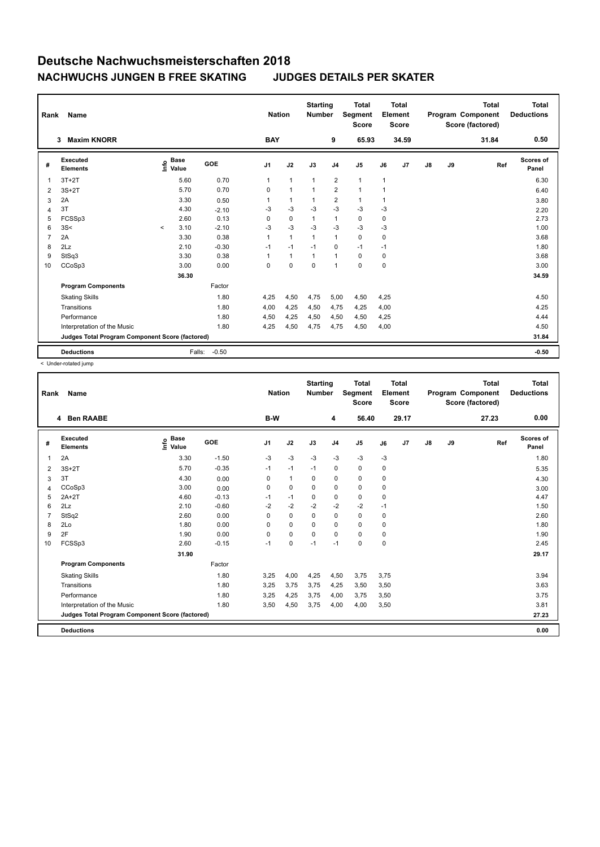| Rank | Name                                            |                   |        |            | <b>Nation</b>  |                | <b>Starting</b><br><b>Number</b> |                | <b>Total</b><br>Segment<br>Score |             | <b>Total</b><br>Element<br>Score |               |    | <b>Total</b><br>Program Component<br>Score (factored) | <b>Total</b><br><b>Deductions</b> |
|------|-------------------------------------------------|-------------------|--------|------------|----------------|----------------|----------------------------------|----------------|----------------------------------|-------------|----------------------------------|---------------|----|-------------------------------------------------------|-----------------------------------|
|      | <b>Maxim KNORR</b><br>3                         |                   |        |            | <b>BAY</b>     |                |                                  | 9              | 65.93                            |             | 34.59                            |               |    | 31.84                                                 | 0.50                              |
| #    | Executed<br><b>Elements</b>                     | <b>Base</b><br>۴٥ | Value  | <b>GOE</b> | J <sub>1</sub> | J2             | J3                               | J <sub>4</sub> | J5                               | J6          | J7                               | $\mathsf{J}8$ | J9 | Ref                                                   | Scores of<br>Panel                |
| 1    | $3T+2T$                                         |                   | 5.60   | 0.70       | 1              | $\mathbf{1}$   | $\mathbf{1}$                     | $\overline{2}$ | $\mathbf{1}$                     | 1           |                                  |               |    |                                                       | 6.30                              |
| 2    | $3S+2T$                                         |                   | 5.70   | 0.70       | 0              | $\overline{1}$ |                                  | $\overline{2}$ | $\mathbf{1}$                     | 1           |                                  |               |    |                                                       | 6.40                              |
| 3    | 2A                                              |                   | 3.30   | 0.50       |                | $\overline{1}$ |                                  | $\overline{2}$ | $\mathbf{1}$                     | 1           |                                  |               |    |                                                       | 3.80                              |
| 4    | 3T                                              |                   | 4.30   | $-2.10$    | -3             | $-3$           | $-3$                             | $-3$           | $-3$                             | $-3$        |                                  |               |    |                                                       | 2.20                              |
| 5    | FCSSp3                                          |                   | 2.60   | 0.13       | 0              | $\mathbf 0$    | $\mathbf{1}$                     | $\mathbf{1}$   | $\mathbf 0$                      | $\mathbf 0$ |                                  |               |    |                                                       | 2.73                              |
| 6    | 3S<                                             | $\prec$           | 3.10   | $-2.10$    | $-3$           | $-3$           | $-3$                             | $-3$           | $-3$                             | -3          |                                  |               |    |                                                       | 1.00                              |
| 7    | 2A                                              |                   | 3.30   | 0.38       |                | $\mathbf{1}$   | $\mathbf{1}$                     | $\mathbf{1}$   | $\mathbf 0$                      | $\mathbf 0$ |                                  |               |    |                                                       | 3.68                              |
| 8    | 2Lz                                             |                   | 2.10   | $-0.30$    | $-1$           | $-1$           | $-1$                             | $\mathbf 0$    | $-1$                             | $-1$        |                                  |               |    |                                                       | 1.80                              |
| 9    | StSq3                                           |                   | 3.30   | 0.38       |                | $\mathbf{1}$   | $\mathbf{1}$                     | $\mathbf{1}$   | $\mathbf 0$                      | $\mathbf 0$ |                                  |               |    |                                                       | 3.68                              |
| 10   | CCoSp3                                          |                   | 3.00   | 0.00       | 0              | $\mathbf 0$    | $\mathbf 0$                      | $\mathbf{1}$   | $\mathbf 0$                      | $\mathbf 0$ |                                  |               |    |                                                       | 3.00                              |
|      |                                                 |                   | 36.30  |            |                |                |                                  |                |                                  |             |                                  |               |    |                                                       | 34.59                             |
|      | <b>Program Components</b>                       |                   |        | Factor     |                |                |                                  |                |                                  |             |                                  |               |    |                                                       |                                   |
|      | <b>Skating Skills</b>                           |                   |        | 1.80       | 4,25           | 4,50           | 4,75                             | 5,00           | 4,50                             | 4,25        |                                  |               |    |                                                       | 4.50                              |
|      | Transitions                                     |                   |        | 1.80       | 4,00           | 4,25           | 4,50                             | 4,75           | 4,25                             | 4,00        |                                  |               |    |                                                       | 4.25                              |
|      | Performance                                     |                   |        | 1.80       | 4,50           | 4,25           | 4,50                             | 4,50           | 4,50                             | 4,25        |                                  |               |    |                                                       | 4.44                              |
|      | Interpretation of the Music                     |                   |        | 1.80       | 4,25           | 4,50           | 4,75                             | 4,75           | 4,50                             | 4,00        |                                  |               |    |                                                       | 4.50                              |
|      | Judges Total Program Component Score (factored) |                   |        |            |                |                |                                  |                |                                  |             |                                  |               |    |                                                       | 31.84                             |
|      | <b>Deductions</b>                               |                   | Falls: | $-0.50$    |                |                |                                  |                |                                  |             |                                  |               |    |                                                       | $-0.50$                           |

< Under-rotated jump

| Rank | Name<br>4 Ben RAABE                             |                            |         | <b>Nation</b>  |              | <b>Starting</b><br><b>Number</b> |                | <b>Total</b><br>Segment<br><b>Score</b> |      | <b>Total</b><br>Element<br><b>Score</b> |               |    | <b>Total</b><br>Program Component<br>Score (factored) | <b>Total</b><br><b>Deductions</b> |
|------|-------------------------------------------------|----------------------------|---------|----------------|--------------|----------------------------------|----------------|-----------------------------------------|------|-----------------------------------------|---------------|----|-------------------------------------------------------|-----------------------------------|
|      |                                                 |                            |         | B-W            |              |                                  | 4              | 56.40                                   |      | 29.17                                   |               |    | 27.23                                                 | 0.00                              |
| #    | Executed<br><b>Elements</b>                     | <b>Base</b><br>١m<br>Value | GOE     | J <sub>1</sub> | J2           | J3                               | J <sub>4</sub> | J5                                      | J6   | J7                                      | $\mathsf{J}8$ | J9 | Ref                                                   | <b>Scores of</b><br>Panel         |
| 1    | 2A                                              | 3.30                       | $-1.50$ | $-3$           | $-3$         | $-3$                             | $-3$           | $-3$                                    | $-3$ |                                         |               |    |                                                       | 1.80                              |
| 2    | $3S+2T$                                         | 5.70                       | $-0.35$ | $-1$           | $-1$         | $-1$                             | $\mathbf 0$    | $\mathbf 0$                             | 0    |                                         |               |    |                                                       | 5.35                              |
| 3    | 3T                                              | 4.30                       | 0.00    | $\Omega$       | $\mathbf{1}$ | $\Omega$                         | 0              | 0                                       | 0    |                                         |               |    |                                                       | 4.30                              |
| 4    | CCoSp3                                          | 3.00                       | 0.00    | 0              | $\mathbf 0$  | $\Omega$                         | $\mathbf 0$    | $\Omega$                                | 0    |                                         |               |    |                                                       | 3.00                              |
| 5    | $2A+2T$                                         | 4.60                       | $-0.13$ | $-1$           | $-1$         | $\mathbf 0$                      | $\mathbf 0$    | $\mathbf 0$                             | 0    |                                         |               |    |                                                       | 4.47                              |
| 6    | 2Lz                                             | 2.10                       | $-0.60$ | $-2$           | $-2$         | $-2$                             | $-2$           | $-2$                                    | $-1$ |                                         |               |    |                                                       | 1.50                              |
| 7    | StSq2                                           | 2.60                       | 0.00    | 0              | $\mathbf 0$  | $\Omega$                         | 0              | $\mathbf 0$                             | 0    |                                         |               |    |                                                       | 2.60                              |
| 8    | 2Lo                                             | 1.80                       | 0.00    | 0              | $\mathbf 0$  | $\Omega$                         | 0              | 0                                       | 0    |                                         |               |    |                                                       | 1.80                              |
| 9    | 2F                                              | 1.90                       | 0.00    | 0              | $\mathbf 0$  | $\Omega$                         | $\Omega$       | 0                                       | 0    |                                         |               |    |                                                       | 1.90                              |
| 10   | FCSSp3                                          | 2.60                       | $-0.15$ | $-1$           | $\mathbf 0$  | $-1$                             | $-1$           | $\mathbf 0$                             | 0    |                                         |               |    |                                                       | 2.45                              |
|      |                                                 | 31.90                      |         |                |              |                                  |                |                                         |      |                                         |               |    |                                                       | 29.17                             |
|      | <b>Program Components</b>                       |                            | Factor  |                |              |                                  |                |                                         |      |                                         |               |    |                                                       |                                   |
|      | <b>Skating Skills</b>                           |                            | 1.80    | 3,25           | 4,00         | 4,25                             | 4,50           | 3,75                                    | 3,75 |                                         |               |    |                                                       | 3.94                              |
|      | Transitions                                     |                            | 1.80    | 3,25           | 3,75         | 3.75                             | 4,25           | 3,50                                    | 3,50 |                                         |               |    |                                                       | 3.63                              |
|      | Performance                                     |                            | 1.80    | 3,25           | 4,25         | 3,75                             | 4,00           | 3,75                                    | 3,50 |                                         |               |    |                                                       | 3.75                              |
|      | Interpretation of the Music                     |                            | 1.80    | 3,50           | 4,50         | 3,75                             | 4,00           | 4,00                                    | 3,50 |                                         |               |    |                                                       | 3.81                              |
|      | Judges Total Program Component Score (factored) |                            |         |                |              |                                  |                |                                         |      |                                         |               |    |                                                       | 27.23                             |
|      | <b>Deductions</b>                               |                            |         |                |              |                                  |                |                                         |      |                                         |               |    |                                                       | 0.00                              |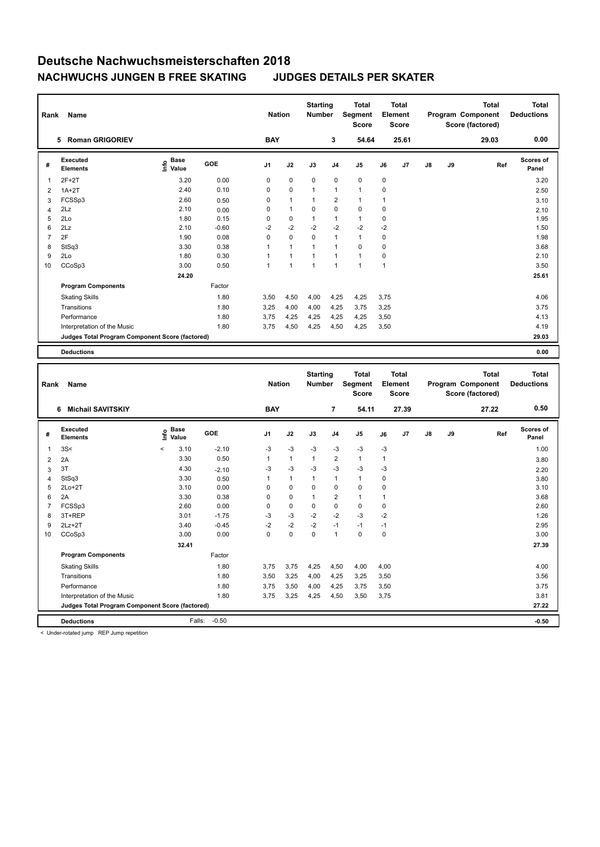| Rank           | Name                                            |                              |         | <b>Nation</b>  |                | <b>Starting</b><br><b>Number</b> |                | <b>Total</b><br><b>Segment</b><br><b>Score</b> |             | <b>Total</b><br>Element<br><b>Score</b> |               |    | <b>Total</b><br>Program Component<br>Score (factored) | <b>Total</b><br><b>Deductions</b> |
|----------------|-------------------------------------------------|------------------------------|---------|----------------|----------------|----------------------------------|----------------|------------------------------------------------|-------------|-----------------------------------------|---------------|----|-------------------------------------------------------|-----------------------------------|
|                | <b>Roman GRIGORIEV</b><br>5                     |                              |         | <b>BAY</b>     |                |                                  | 3              | 54.64                                          |             | 25.61                                   |               |    | 29.03                                                 | 0.00                              |
| #              | Executed<br><b>Elements</b>                     | <b>Base</b><br>lnfo<br>Value | GOE     | J <sub>1</sub> | J2             | J3                               | J <sub>4</sub> | J5                                             | J6          | J7                                      | $\mathsf{J}8$ | J9 | Ref                                                   | Scores of<br>Panel                |
| 1              | $2F+2T$                                         | 3.20                         | 0.00    | 0              | $\mathbf 0$    | $\mathbf 0$                      | 0              | $\mathbf 0$                                    | 0           |                                         |               |    |                                                       | 3.20                              |
| $\overline{2}$ | $1A+2T$                                         | 2.40                         | 0.10    | 0              | 0              | 1                                | $\mathbf{1}$   | $\mathbf{1}$                                   | 0           |                                         |               |    |                                                       | 2.50                              |
| 3              | FCSSp3                                          | 2.60                         | 0.50    | $\Omega$       | $\mathbf{1}$   | 1                                | $\overline{2}$ | $\mathbf{1}$                                   | 1           |                                         |               |    |                                                       | 3.10                              |
| 4              | 2Lz                                             | 2.10                         | 0.00    | $\Omega$       | $\mathbf{1}$   | $\Omega$                         | 0              | $\mathbf 0$                                    | 0           |                                         |               |    |                                                       | 2.10                              |
| 5              | 2Lo                                             | 1.80                         | 0.15    | $\Omega$       | $\mathbf 0$    | $\mathbf{1}$                     | $\mathbf{1}$   | $\mathbf{1}$                                   | $\mathbf 0$ |                                         |               |    |                                                       | 1.95                              |
| 6              | 2Lz                                             | 2.10                         | $-0.60$ | $-2$           | $-2$           | $-2$                             | $-2$           | $-2$                                           | $-2$        |                                         |               |    |                                                       | 1.50                              |
| $\overline{7}$ | 2F                                              | 1.90                         | 0.08    | $\Omega$       | $\Omega$       | $\Omega$                         | $\mathbf{1}$   | $\mathbf{1}$                                   | $\mathbf 0$ |                                         |               |    |                                                       | 1.98                              |
| 8              | StSq3                                           | 3.30                         | 0.38    | 1              | $\mathbf{1}$   | 1                                | $\mathbf{1}$   | $\Omega$                                       | 0           |                                         |               |    |                                                       | 3.68                              |
| 9              | 2Lo                                             | 1.80                         | 0.30    | $\overline{1}$ | $\overline{1}$ | $\mathbf{1}$                     | $\mathbf{1}$   | $\mathbf{1}$                                   | 0           |                                         |               |    |                                                       | 2.10                              |
| 10             | CCoSp3                                          | 3.00                         | 0.50    | 1              | $\overline{1}$ | $\mathbf{1}$                     | $\overline{1}$ | 1                                              | 1           |                                         |               |    |                                                       | 3.50                              |
|                |                                                 | 24.20                        |         |                |                |                                  |                |                                                |             |                                         |               |    |                                                       | 25.61                             |
|                | <b>Program Components</b>                       |                              | Factor  |                |                |                                  |                |                                                |             |                                         |               |    |                                                       |                                   |
|                | <b>Skating Skills</b>                           |                              | 1.80    | 3.50           | 4,50           | 4,00                             | 4,25           | 4,25                                           | 3,75        |                                         |               |    |                                                       | 4.06                              |
|                | Transitions                                     |                              | 1.80    | 3,25           | 4,00           | 4,00                             | 4,25           | 3,75                                           | 3,25        |                                         |               |    |                                                       | 3.75                              |
|                | Performance                                     |                              | 1.80    | 3,75           | 4,25           | 4,25                             | 4,25           | 4,25                                           | 3,50        |                                         |               |    |                                                       | 4.13                              |
|                | Interpretation of the Music                     |                              | 1.80    | 3,75           | 4,50           | 4,25                             | 4,50           | 4,25                                           | 3,50        |                                         |               |    |                                                       | 4.19                              |
|                | Judges Total Program Component Score (factored) |                              |         |                |                |                                  |                |                                                |             |                                         |               |    |                                                       | 29.03                             |
|                | <b>Deductions</b>                               |                              |         |                |                |                                  |                |                                                |             |                                         |               |    |                                                       | 0.00                              |

| Rank           | Name                                            |                            |                   | <b>Nation</b>  |              | <b>Starting</b><br><b>Number</b> |                         | <b>Total</b><br>Segment<br><b>Score</b> |             | <b>Total</b><br>Element<br><b>Score</b> |               |    | <b>Total</b><br>Program Component<br>Score (factored) | <b>Total</b><br><b>Deductions</b> |
|----------------|-------------------------------------------------|----------------------------|-------------------|----------------|--------------|----------------------------------|-------------------------|-----------------------------------------|-------------|-----------------------------------------|---------------|----|-------------------------------------------------------|-----------------------------------|
|                | <b>Michail SAVITSKIY</b><br>6                   |                            |                   | <b>BAY</b>     |              |                                  | $\overline{7}$          | 54.11                                   |             | 27.39                                   |               |    | 27.22                                                 | 0.50                              |
| #              | Executed<br><b>Elements</b>                     | <b>Base</b><br>۴ů<br>Value | GOE               | J <sub>1</sub> | J2           | J3                               | J <sub>4</sub>          | J <sub>5</sub>                          | J6          | J <sub>7</sub>                          | $\mathsf{J}8$ | J9 | Ref                                                   | <b>Scores of</b><br>Panel         |
| $\overline{1}$ | 3S<                                             | 3.10<br>$\prec$            | $-2.10$           | $-3$           | $-3$         | $-3$                             | $-3$                    | $-3$                                    | $-3$        |                                         |               |    |                                                       | 1.00                              |
| $\overline{2}$ | 2A                                              | 3.30                       | 0.50              | 1              | 1            | 1                                | $\overline{\mathbf{c}}$ | $\mathbf{1}$                            | 1           |                                         |               |    |                                                       | 3.80                              |
| 3              | 3T                                              | 4.30                       | $-2.10$           | $-3$           | $-3$         | $-3$                             | $-3$                    | $-3$                                    | $-3$        |                                         |               |    |                                                       | 2.20                              |
| $\overline{4}$ | StSq3                                           | 3.30                       | 0.50              | 1              | $\mathbf{1}$ | $\mathbf{1}$                     | $\mathbf{1}$            | $\mathbf{1}$                            | $\mathbf 0$ |                                         |               |    |                                                       | 3.80                              |
| 5              | $2Lo+2T$                                        | 3.10                       | 0.00              | 0              | $\mathbf 0$  | $\mathbf 0$                      | $\mathbf 0$             | $\mathbf 0$                             | 0           |                                         |               |    |                                                       | 3.10                              |
| 6              | 2A                                              | 3.30                       | 0.38              | 0              | $\mathbf 0$  | $\mathbf{1}$                     | $\overline{\mathbf{c}}$ | $\blacktriangleleft$                    | 1           |                                         |               |    |                                                       | 3.68                              |
| $\overline{7}$ | FCSSp3                                          | 2.60                       | 0.00              | 0              | $\mathbf 0$  | 0                                | $\mathbf 0$             | 0                                       | 0           |                                         |               |    |                                                       | 2.60                              |
| 8              | 3T+REP                                          | 3.01                       | $-1.75$           | $-3$           | $-3$         | $-2$                             | $-2$                    | $-3$                                    | $-2$        |                                         |               |    |                                                       | 1.26                              |
| 9              | $2Lz+2T$                                        | 3.40                       | $-0.45$           | $-2$           | $-2$         | $-2$                             | $-1$                    | $-1$                                    | $-1$        |                                         |               |    |                                                       | 2.95                              |
| 10             | CCoSp3                                          | 3.00                       | 0.00              | 0              | 0            | 0                                | $\mathbf{1}$            | $\mathbf 0$                             | $\mathbf 0$ |                                         |               |    |                                                       | 3.00                              |
|                |                                                 | 32.41                      |                   |                |              |                                  |                         |                                         |             |                                         |               |    |                                                       | 27.39                             |
|                | <b>Program Components</b>                       |                            | Factor            |                |              |                                  |                         |                                         |             |                                         |               |    |                                                       |                                   |
|                | <b>Skating Skills</b>                           |                            | 1.80              | 3,75           | 3,75         | 4,25                             | 4,50                    | 4,00                                    | 4,00        |                                         |               |    |                                                       | 4.00                              |
|                | Transitions                                     |                            | 1.80              | 3,50           | 3,25         | 4,00                             | 4,25                    | 3,25                                    | 3,50        |                                         |               |    |                                                       | 3.56                              |
|                | Performance                                     |                            | 1.80              | 3,75           | 3,50         | 4,00                             | 4,25                    | 3,75                                    | 3,50        |                                         |               |    |                                                       | 3.75                              |
|                | Interpretation of the Music                     |                            | 1.80              | 3,75           | 3,25         | 4,25                             | 4,50                    | 3,50                                    | 3,75        |                                         |               |    |                                                       | 3.81                              |
|                | Judges Total Program Component Score (factored) |                            |                   |                |              |                                  |                         |                                         |             |                                         |               |    |                                                       | 27.22                             |
|                | <b>Deductions</b>                               |                            | $-0.50$<br>Falls: |                |              |                                  |                         |                                         |             |                                         |               |    |                                                       | $-0.50$                           |

< Under-rotated jump REP Jump repetition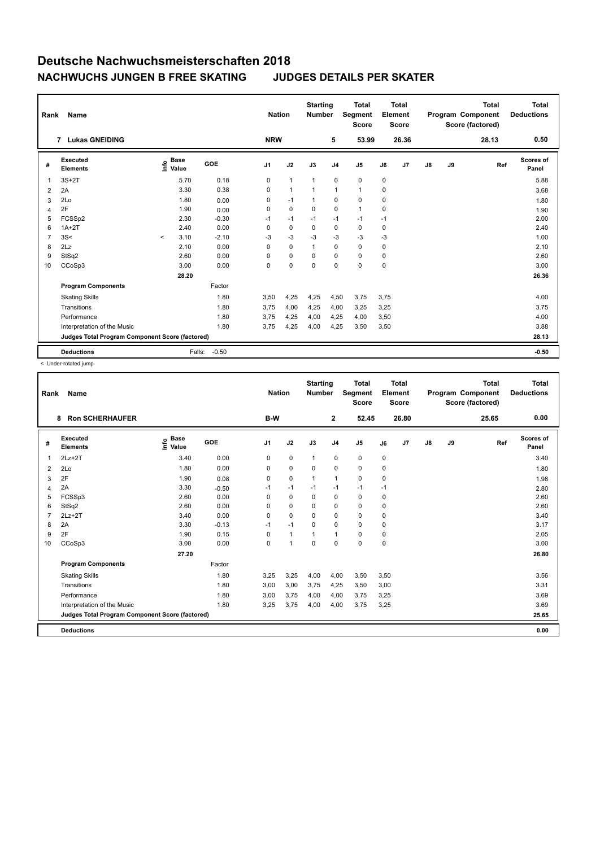| Rank           | Name                                            | <b>Nation</b> |                      | <b>Starting</b><br><b>Number</b> |                | <b>Total</b><br>Segment<br><b>Score</b> |              | <b>Total</b><br>Element<br><b>Score</b> |                |             | <b>Total</b><br>Program Component<br>Score (factored) | <b>Total</b><br><b>Deductions</b> |    |       |                    |
|----------------|-------------------------------------------------|---------------|----------------------|----------------------------------|----------------|-----------------------------------------|--------------|-----------------------------------------|----------------|-------------|-------------------------------------------------------|-----------------------------------|----|-------|--------------------|
|                | <b>Lukas GNEIDING</b><br>$\overline{7}$         |               |                      |                                  | <b>NRW</b>     |                                         |              | 5                                       | 53.99          |             | 26.36                                                 |                                   |    | 28.13 | 0.50               |
| #              | Executed<br><b>Elements</b>                     | Info          | <b>Base</b><br>Value | GOE                              | J <sub>1</sub> | J2                                      | J3           | J <sub>4</sub>                          | J <sub>5</sub> | J6          | J7                                                    | $\mathsf{J}8$                     | J9 | Ref   | Scores of<br>Panel |
| 1              | $3S+2T$                                         |               | 5.70                 | 0.18                             | 0              | $\mathbf{1}$                            | $\mathbf{1}$ | $\mathbf 0$                             | 0              | 0           |                                                       |                                   |    |       | 5.88               |
| 2              | 2A                                              |               | 3.30                 | 0.38                             | 0              | $\mathbf{1}$                            |              | $\mathbf{1}$                            | $\mathbf{1}$   | 0           |                                                       |                                   |    |       | 3.68               |
| 3              | 2Lo                                             |               | 1.80                 | 0.00                             | 0              | $-1$                                    | 1            | 0                                       | 0              | 0           |                                                       |                                   |    |       | 1.80               |
| 4              | 2F                                              |               | 1.90                 | 0.00                             | 0              | $\mathbf 0$                             | 0            | $\mathbf 0$                             | $\mathbf{1}$   | 0           |                                                       |                                   |    |       | 1.90               |
| 5              | FCSSp2                                          |               | 2.30                 | $-0.30$                          | $-1$           | $-1$                                    | $-1$         | $-1$                                    | $-1$           | $-1$        |                                                       |                                   |    |       | 2.00               |
| 6              | $1A+2T$                                         |               | 2.40                 | 0.00                             | 0              | $\mathbf 0$                             | 0            | $\mathbf 0$                             | $\mathbf 0$    | 0           |                                                       |                                   |    |       | 2.40               |
| $\overline{7}$ | 3S<                                             | $\prec$       | 3.10                 | $-2.10$                          | $-3$           | $-3$                                    | $-3$         | $-3$                                    | $-3$           | -3          |                                                       |                                   |    |       | 1.00               |
| 8              | 2Lz                                             |               | 2.10                 | 0.00                             | $\Omega$       | $\mathbf 0$                             | $\mathbf{1}$ | 0                                       | 0              | 0           |                                                       |                                   |    |       | 2.10               |
| 9              | StSq2                                           |               | 2.60                 | 0.00                             | $\Omega$       | $\mathbf 0$                             | $\Omega$     | $\mathbf 0$                             | $\mathbf 0$    | $\mathbf 0$ |                                                       |                                   |    |       | 2.60               |
| 10             | CCoSp3                                          |               | 3.00                 | 0.00                             | 0              | $\mathbf 0$                             | $\mathbf 0$  | $\mathbf 0$                             | 0              | $\mathbf 0$ |                                                       |                                   |    |       | 3.00               |
|                |                                                 |               | 28.20                |                                  |                |                                         |              |                                         |                |             |                                                       |                                   |    |       | 26.36              |
|                | <b>Program Components</b>                       |               |                      | Factor                           |                |                                         |              |                                         |                |             |                                                       |                                   |    |       |                    |
|                | <b>Skating Skills</b>                           |               |                      | 1.80                             | 3,50           | 4,25                                    | 4,25         | 4,50                                    | 3,75           | 3,75        |                                                       |                                   |    |       | 4.00               |
|                | Transitions                                     |               |                      | 1.80                             | 3,75           | 4,00                                    | 4,25         | 4,00                                    | 3,25           | 3,25        |                                                       |                                   |    |       | 3.75               |
|                | Performance                                     |               |                      | 1.80                             | 3,75           | 4,25                                    | 4,00         | 4,25                                    | 4,00           | 3,50        |                                                       |                                   |    |       | 4.00               |
|                | Interpretation of the Music                     |               |                      | 1.80                             | 3,75           | 4,25                                    | 4,00         | 4,25                                    | 3,50           | 3,50        |                                                       |                                   |    |       | 3.88               |
|                | Judges Total Program Component Score (factored) |               |                      |                                  |                |                                         |              |                                         |                |             |                                                       |                                   |    |       | 28.13              |
|                | <b>Deductions</b>                               |               | Falls:               | $-0.50$                          |                |                                         |              |                                         |                |             |                                                       |                                   |    |       | $-0.50$            |

< Under-rotated jump

| Rank           | Name                                            |                                  |         | <b>Nation</b>  |                | <b>Starting</b><br><b>Number</b> |                | <b>Total</b><br>Segment<br><b>Score</b> |      | <b>Total</b><br>Element<br><b>Score</b> |    |    | <b>Total</b><br><b>Program Component</b><br>Score (factored) | <b>Total</b><br><b>Deductions</b> |
|----------------|-------------------------------------------------|----------------------------------|---------|----------------|----------------|----------------------------------|----------------|-----------------------------------------|------|-----------------------------------------|----|----|--------------------------------------------------------------|-----------------------------------|
|                | <b>Ron SCHERHAUFER</b><br>8                     |                                  |         | B-W            |                |                                  | $\mathbf{2}$   | 52.45                                   |      | 26.80                                   |    |    | 25.65                                                        | 0.00                              |
| #              | Executed<br><b>Elements</b>                     | <b>Base</b><br>e Base<br>⊆ Value | GOE     | J <sub>1</sub> | J2             | J3                               | J <sub>4</sub> | J <sub>5</sub>                          | J6   | J7                                      | J8 | J9 | Ref                                                          | <b>Scores of</b><br>Panel         |
| $\mathbf{1}$   | $2Lz+2T$                                        | 3.40                             | 0.00    | 0              | $\mathbf 0$    | $\mathbf{1}$                     | $\mathbf 0$    | 0                                       | 0    |                                         |    |    |                                                              | 3.40                              |
| $\overline{2}$ | 2Lo                                             | 1.80                             | 0.00    | 0              | $\mathbf 0$    | $\mathbf 0$                      | $\mathbf 0$    | 0                                       | 0    |                                         |    |    |                                                              | 1.80                              |
| 3              | 2F                                              | 1.90                             | 0.08    | 0              | $\mathbf 0$    | $\mathbf{1}$                     | $\mathbf{1}$   | $\mathbf 0$                             | 0    |                                         |    |    |                                                              | 1.98                              |
| $\overline{4}$ | 2A                                              | 3.30                             | $-0.50$ | $-1$           | $-1$           | $-1$                             | $-1$           | $-1$                                    | $-1$ |                                         |    |    |                                                              | 2.80                              |
| 5              | FCSSp3                                          | 2.60                             | 0.00    | 0              | $\mathbf 0$    | 0                                | 0              | 0                                       | 0    |                                         |    |    |                                                              | 2.60                              |
| 6              | StSq2                                           | 2.60                             | 0.00    | 0              | $\mathbf 0$    | $\Omega$                         | $\pmb{0}$      | $\mathbf 0$                             | 0    |                                         |    |    |                                                              | 2.60                              |
| $\overline{7}$ | $2Lz+2T$                                        | 3.40                             | 0.00    | 0              | $\mathbf 0$    | $\Omega$                         | $\mathbf 0$    | $\mathbf 0$                             | 0    |                                         |    |    |                                                              | 3.40                              |
| 8              | 2A                                              | 3.30                             | $-0.13$ | $-1$           | $-1$           | $\mathbf 0$                      | $\mathbf 0$    | $\mathbf 0$                             | 0    |                                         |    |    |                                                              | 3.17                              |
| 9              | 2F                                              | 1.90                             | 0.15    | 0              | $\mathbf{1}$   | 1                                | $\mathbf{1}$   | $\mathbf 0$                             | 0    |                                         |    |    |                                                              | 2.05                              |
| 10             | CCoSp3                                          | 3.00                             | 0.00    | 0              | $\overline{1}$ | $\mathbf 0$                      | $\mathbf 0$    | $\mathbf 0$                             | 0    |                                         |    |    |                                                              | 3.00                              |
|                |                                                 | 27.20                            |         |                |                |                                  |                |                                         |      |                                         |    |    |                                                              | 26.80                             |
|                | <b>Program Components</b>                       |                                  | Factor  |                |                |                                  |                |                                         |      |                                         |    |    |                                                              |                                   |
|                | <b>Skating Skills</b>                           |                                  | 1.80    | 3,25           | 3,25           | 4,00                             | 4,00           | 3,50                                    | 3,50 |                                         |    |    |                                                              | 3.56                              |
|                | Transitions                                     |                                  | 1.80    | 3,00           | 3,00           | 3,75                             | 4,25           | 3,50                                    | 3,00 |                                         |    |    |                                                              | 3.31                              |
|                | Performance                                     |                                  | 1.80    | 3,00           | 3,75           | 4,00                             | 4,00           | 3,75                                    | 3,25 |                                         |    |    |                                                              | 3.69                              |
|                | Interpretation of the Music                     |                                  | 1.80    | 3,25           | 3,75           | 4,00                             | 4,00           | 3,75                                    | 3,25 |                                         |    |    |                                                              | 3.69                              |
|                | Judges Total Program Component Score (factored) |                                  |         |                |                |                                  |                |                                         |      |                                         |    |    |                                                              | 25.65                             |
|                | <b>Deductions</b>                               |                                  |         |                |                |                                  |                |                                         |      |                                         |    |    |                                                              | 0.00                              |